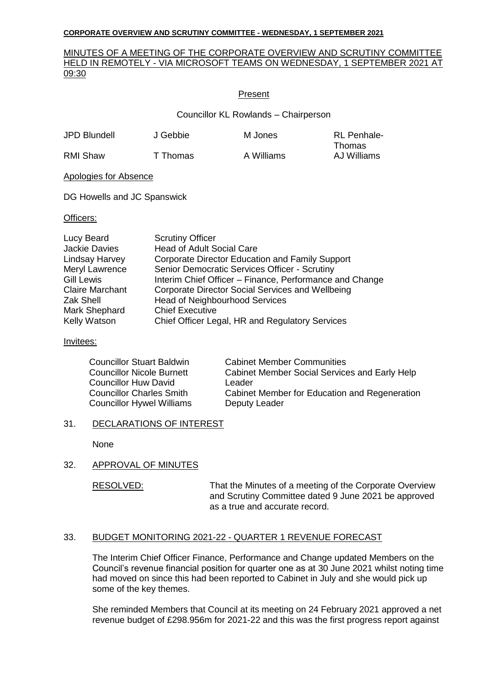## MINUTES OF A MEETING OF THE CORPORATE OVERVIEW AND SCRUTINY COMMITTEE HELD IN REMOTELY - VIA MICROSOFT TEAMS ON WEDNESDAY, 1 SEPTEMBER 2021 AT 09:30

## Present

Councillor KL Rowlands – Chairperson

| JPD Blundell | J Gebbie | M Jones    | <b>RL</b> Penhale- |
|--------------|----------|------------|--------------------|
|              |          |            | Thomas             |
| RMI Shaw     | T Thomas | A Williams | AJ Williams        |

Apologies for Absence

DG Howells and JC Spanswick

### Officers:

| Lucy Beard             | <b>Scrutiny Officer</b>                                 |
|------------------------|---------------------------------------------------------|
| <b>Jackie Davies</b>   | <b>Head of Adult Social Care</b>                        |
| Lindsay Harvey         | Corporate Director Education and Family Support         |
| Meryl Lawrence         | Senior Democratic Services Officer - Scrutiny           |
| <b>Gill Lewis</b>      | Interim Chief Officer – Finance, Performance and Change |
| <b>Claire Marchant</b> | Corporate Director Social Services and Wellbeing        |
| Zak Shell              | <b>Head of Neighbourhood Services</b>                   |
| Mark Shephard          | <b>Chief Executive</b>                                  |
| Kelly Watson           | Chief Officer Legal, HR and Regulatory Services         |

## Invitees:

| <b>Councillor Stuart Baldwin</b> | <b>Cabinet Member Communities</b>             |
|----------------------------------|-----------------------------------------------|
| <b>Councillor Nicole Burnett</b> | Cabinet Member Social Services and Early Help |
| Councillor Huw David             | Leader                                        |
| <b>Councillor Charles Smith</b>  | Cabinet Member for Education and Regeneration |
| <b>Councillor Hywel Williams</b> | Deputy Leader                                 |

# 31. DECLARATIONS OF INTEREST

None

# 32. APPROVAL OF MINUTES

RESOLVED: That the Minutes of a meeting of the Corporate Overview and Scrutiny Committee dated 9 June 2021 be approved as a true and accurate record.

# 33. BUDGET MONITORING 2021-22 - QUARTER 1 REVENUE FORECAST

The Interim Chief Officer Finance, Performance and Change updated Members on the Council's revenue financial position for quarter one as at 30 June 2021 whilst noting time had moved on since this had been reported to Cabinet in July and she would pick up some of the key themes.

She reminded Members that Council at its meeting on 24 February 2021 approved a net revenue budget of £298.956m for 2021-22 and this was the first progress report against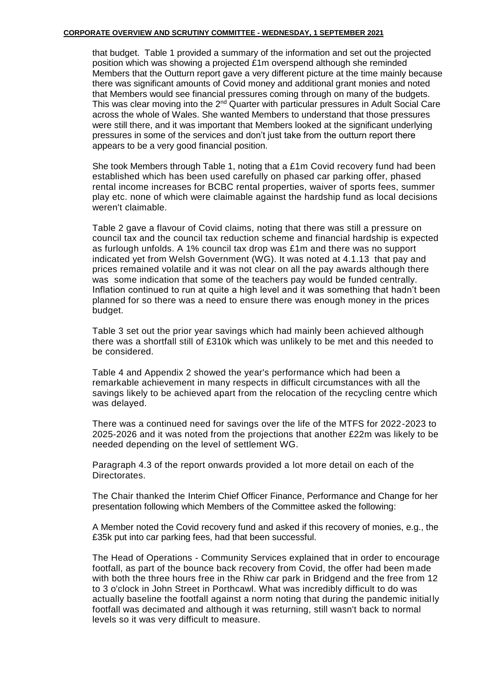that budget. Table 1 provided a summary of the information and set out the projected position which was showing a projected £1m overspend although she reminded Members that the Outturn report gave a very different picture at the time mainly because there was significant amounts of Covid money and additional grant monies and noted that Members would see financial pressures coming through on many of the budgets. This was clear moving into the 2<sup>nd</sup> Quarter with particular pressures in Adult Social Care across the whole of Wales. She wanted Members to understand that those pressures were still there, and it was important that Members looked at the significant underlying pressures in some of the services and don't just take from the outturn report there appears to be a very good financial position.

She took Members through Table 1, noting that a £1m Covid recovery fund had been established which has been used carefully on phased car parking offer, phased rental income increases for BCBC rental properties, waiver of sports fees, summer play etc. none of which were claimable against the hardship fund as local decisions weren't claimable.

Table 2 gave a flavour of Covid claims, noting that there was still a pressure on council tax and the council tax reduction scheme and financial hardship is expected as furlough unfolds. A 1% council tax drop was £1m and there was no support indicated yet from Welsh Government (WG). It was noted at 4.1.13 that pay and prices remained volatile and it was not clear on all the pay awards although there was some indication that some of the teachers pay would be funded centrally. Inflation continued to run at quite a high level and it was something that hadn't been planned for so there was a need to ensure there was enough money in the prices budget.

Table 3 set out the prior year savings which had mainly been achieved although there was a shortfall still of £310k which was unlikely to be met and this needed to be considered.

Table 4 and Appendix 2 showed the year's performance which had been a remarkable achievement in many respects in difficult circumstances with all the savings likely to be achieved apart from the relocation of the recycling centre which was delayed.

There was a continued need for savings over the life of the MTFS for 2022-2023 to 2025-2026 and it was noted from the projections that another £22m was likely to be needed depending on the level of settlement WG.

Paragraph 4.3 of the report onwards provided a lot more detail on each of the Directorates.

The Chair thanked the Interim Chief Officer Finance, Performance and Change for her presentation following which Members of the Committee asked the following:

A Member noted the Covid recovery fund and asked if this recovery of monies, e.g., the £35k put into car parking fees, had that been successful.

The Head of Operations - Community Services explained that in order to encourage footfall, as part of the bounce back recovery from Covid, the offer had been made with both the three hours free in the Rhiw car park in Bridgend and the free from 12 to 3 o'clock in John Street in Porthcawl. What was incredibly difficult to do was actually baseline the footfall against a norm noting that during the pandemic initial ly footfall was decimated and although it was returning, still wasn't back to normal levels so it was very difficult to measure.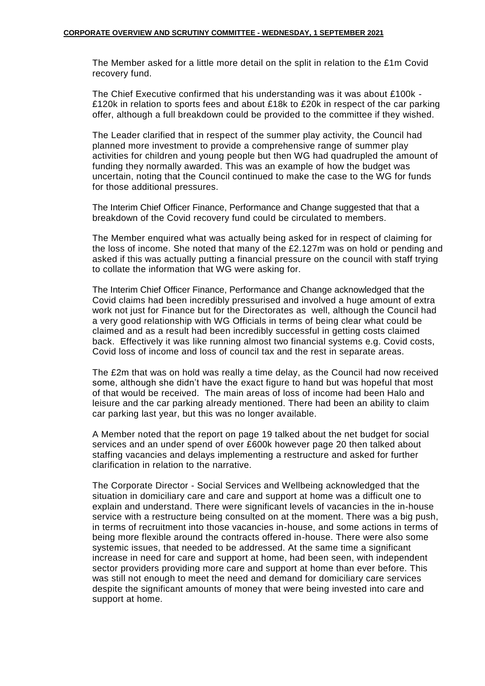The Member asked for a little more detail on the split in relation to the £1m Covid recovery fund.

The Chief Executive confirmed that his understanding was it was about £100k - £120k in relation to sports fees and about £18k to £20k in respect of the car parking offer, although a full breakdown could be provided to the committee if they wished.

The Leader clarified that in respect of the summer play activity, the Council had planned more investment to provide a comprehensive range of summer play activities for children and young people but then WG had quadrupled the amount of funding they normally awarded. This was an example of how the budget was uncertain, noting that the Council continued to make the case to the WG for funds for those additional pressures.

The Interim Chief Officer Finance, Performance and Change suggested that that a breakdown of the Covid recovery fund could be circulated to members.

The Member enquired what was actually being asked for in respect of claiming for the loss of income. She noted that many of the £2.127m was on hold or pending and asked if this was actually putting a financial pressure on the council with staff trying to collate the information that WG were asking for.

The Interim Chief Officer Finance, Performance and Change acknowledged that the Covid claims had been incredibly pressurised and involved a huge amount of extra work not just for Finance but for the Directorates as well, although the Council had a very good relationship with WG Officials in terms of being clear what could be claimed and as a result had been incredibly successful in getting costs claimed back. Effectively it was like running almost two financial systems e.g. Covid costs, Covid loss of income and loss of council tax and the rest in separate areas.

The £2m that was on hold was really a time delay, as the Council had now received some, although she didn't have the exact figure to hand but was hopeful that most of that would be received. The main areas of loss of income had been Halo and leisure and the car parking already mentioned. There had been an ability to claim car parking last year, but this was no longer available.

A Member noted that the report on page 19 talked about the net budget for social services and an under spend of over £600k however page 20 then talked about staffing vacancies and delays implementing a restructure and asked for further clarification in relation to the narrative.

The Corporate Director - Social Services and Wellbeing acknowledged that the situation in domiciliary care and care and support at home was a difficult one to explain and understand. There were significant levels of vacancies in the in-house service with a restructure being consulted on at the moment. There was a big push, in terms of recruitment into those vacancies in-house, and some actions in terms of being more flexible around the contracts offered in-house. There were also some systemic issues, that needed to be addressed. At the same time a significant increase in need for care and support at home, had been seen, with independent sector providers providing more care and support at home than ever before. This was still not enough to meet the need and demand for domiciliary care services despite the significant amounts of money that were being invested into care and support at home.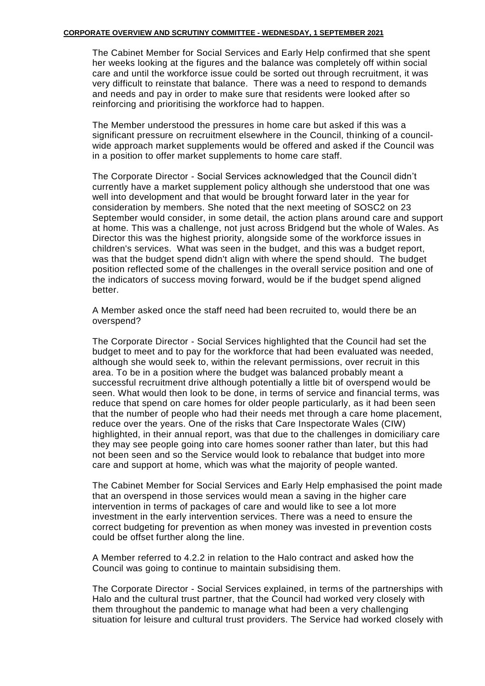The Cabinet Member for Social Services and Early Help confirmed that she spent her weeks looking at the figures and the balance was completely off within social care and until the workforce issue could be sorted out through recruitment, it was very difficult to reinstate that balance. There was a need to respond to demands and needs and pay in order to make sure that residents were looked after so reinforcing and prioritising the workforce had to happen.

The Member understood the pressures in home care but asked if this was a significant pressure on recruitment elsewhere in the Council, thinking of a councilwide approach market supplements would be offered and asked if the Council was in a position to offer market supplements to home care staff.

The Corporate Director - Social Services acknowledged that the Council didn't currently have a market supplement policy although she understood that one was well into development and that would be brought forward later in the year for consideration by members. She noted that the next meeting of SOSC2 on 23 September would consider, in some detail, the action plans around care and support at home. This was a challenge, not just across Bridgend but the whole of Wales. As Director this was the highest priority, alongside some of the workforce issues in children's services. What was seen in the budget, and this was a budget report, was that the budget spend didn't align with where the spend should. The budget position reflected some of the challenges in the overall service position and one of the indicators of success moving forward, would be if the budget spend aligned better.

A Member asked once the staff need had been recruited to, would there be an overspend?

The Corporate Director - Social Services highlighted that the Council had set the budget to meet and to pay for the workforce that had been evaluated was needed, although she would seek to, within the relevant permissions, over recruit in this area. To be in a position where the budget was balanced probably meant a successful recruitment drive although potentially a little bit of overspend would be seen. What would then look to be done, in terms of service and financial terms, was reduce that spend on care homes for older people particularly, as it had been seen that the number of people who had their needs met through a care home placement, reduce over the years. One of the risks that Care Inspectorate Wales (CIW) highlighted, in their annual report, was that due to the challenges in domiciliary care they may see people going into care homes sooner rather than later, but this had not been seen and so the Service would look to rebalance that budget into more care and support at home, which was what the majority of people wanted.

The Cabinet Member for Social Services and Early Help emphasised the point made that an overspend in those services would mean a saving in the higher care intervention in terms of packages of care and would like to see a lot more investment in the early intervention services. There was a need to ensure the correct budgeting for prevention as when money was invested in prevention costs could be offset further along the line.

A Member referred to 4.2.2 in relation to the Halo contract and asked how the Council was going to continue to maintain subsidising them.

The Corporate Director - Social Services explained, in terms of the partnerships with Halo and the cultural trust partner, that the Council had worked very closely with them throughout the pandemic to manage what had been a very challenging situation for leisure and cultural trust providers. The Service had worked closely with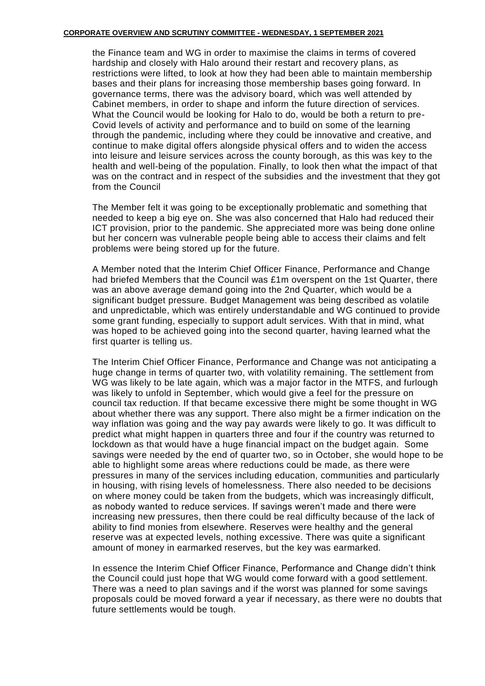the Finance team and WG in order to maximise the claims in terms of covered hardship and closely with Halo around their restart and recovery plans, as restrictions were lifted, to look at how they had been able to maintain membership bases and their plans for increasing those membership bases going forward. In governance terms, there was the advisory board, which was well attended by Cabinet members, in order to shape and inform the future direction of services. What the Council would be looking for Halo to do, would be both a return to pre-Covid levels of activity and performance and to build on some of the learning through the pandemic, including where they could be innovative and creative, and continue to make digital offers alongside physical offers and to widen the access into leisure and leisure services across the county borough, as this was key to the health and well-being of the population. Finally, to look then what the impact of that was on the contract and in respect of the subsidies and the investment that they got from the Council

The Member felt it was going to be exceptionally problematic and something that needed to keep a big eye on. She was also concerned that Halo had reduced their ICT provision, prior to the pandemic. She appreciated more was being done online but her concern was vulnerable people being able to access their claims and felt problems were being stored up for the future.

A Member noted that the Interim Chief Officer Finance, Performance and Change had briefed Members that the Council was £1m overspent on the 1st Quarter, there was an above average demand going into the 2nd Quarter, which would be a significant budget pressure. Budget Management was being described as volatile and unpredictable, which was entirely understandable and WG continued to provide some grant funding, especially to support adult services. With that in mind, what was hoped to be achieved going into the second quarter, having learned what the first quarter is telling us.

The Interim Chief Officer Finance, Performance and Change was not anticipating a huge change in terms of quarter two, with volatility remaining. The settlement from WG was likely to be late again, which was a major factor in the MTFS, and furlough was likely to unfold in September, which would give a feel for the pressure on council tax reduction. If that became excessive there might be some thought in WG about whether there was any support. There also might be a firmer indication on the way inflation was going and the way pay awards were likely to go. It was difficult to predict what might happen in quarters three and four if the country was returned to lockdown as that would have a huge financial impact on the budget again. Some savings were needed by the end of quarter two, so in October, she would hope to be able to highlight some areas where reductions could be made, as there were pressures in many of the services including education, communities and particularly in housing, with rising levels of homelessness. There also needed to be decisions on where money could be taken from the budgets, which was increasingly difficult, as nobody wanted to reduce services. If savings weren't made and there were increasing new pressures, then there could be real difficulty because of the lack of ability to find monies from elsewhere. Reserves were healthy and the general reserve was at expected levels, nothing excessive. There was quite a significant amount of money in earmarked reserves, but the key was earmarked.

In essence the Interim Chief Officer Finance, Performance and Change didn't think the Council could just hope that WG would come forward with a good settlement. There was a need to plan savings and if the worst was planned for some savings proposals could be moved forward a year if necessary, as there were no doubts that future settlements would be tough.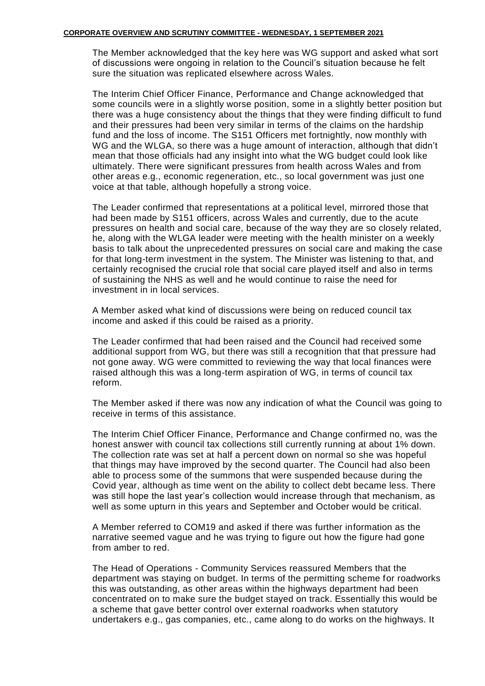The Member acknowledged that the key here was WG support and asked what sort of discussions were ongoing in relation to the Council's situation because he felt sure the situation was replicated elsewhere across Wales.

The Interim Chief Officer Finance, Performance and Change acknowledged that some councils were in a slightly worse position, some in a slightly better position but there was a huge consistency about the things that they were finding difficult to fund and their pressures had been very similar in terms of the claims on the hardship fund and the loss of income. The S151 Officers met fortnightly, now monthly with WG and the WLGA, so there was a huge amount of interaction, although that didn't mean that those officials had any insight into what the WG budget could look like ultimately. There were significant pressures from health across Wales and from other areas e.g., economic regeneration, etc., so local government was just one voice at that table, although hopefully a strong voice.

The Leader confirmed that representations at a political level, mirrored those that had been made by S151 officers, across Wales and currently, due to the acute pressures on health and social care, because of the way they are so closely related, he, along with the WLGA leader were meeting with the health minister on a weekly basis to talk about the unprecedented pressures on social care and making the case for that long-term investment in the system. The Minister was listening to that, and certainly recognised the crucial role that social care played itself and also in terms of sustaining the NHS as well and he would continue to raise the need for investment in in local services.

A Member asked what kind of discussions were being on reduced council tax income and asked if this could be raised as a priority.

The Leader confirmed that had been raised and the Council had received some additional support from WG, but there was still a recognition that that pressure had not gone away. WG were committed to reviewing the way that local finances were raised although this was a long-term aspiration of WG, in terms of council tax reform.

The Member asked if there was now any indication of what the Council was going to receive in terms of this assistance.

The Interim Chief Officer Finance, Performance and Change confirmed no, was the honest answer with council tax collections still currently running at about 1% down. The collection rate was set at half a percent down on normal so she was hopeful that things may have improved by the second quarter. The Council had also been able to process some of the summons that were suspended because during the Covid year, although as time went on the ability to collect debt became less. There was still hope the last year's collection would increase through that mechanism, as well as some upturn in this years and September and October would be critical.

A Member referred to COM19 and asked if there was further information as the narrative seemed vague and he was trying to figure out how the figure had gone from amber to red.

The Head of Operations - Community Services reassured Members that the department was staying on budget. In terms of the permitting scheme for roadworks this was outstanding, as other areas within the highways department had been concentrated on to make sure the budget stayed on track. Essentially this would be a scheme that gave better control over external roadworks when statutory undertakers e.g., gas companies, etc., came along to do works on the highways. It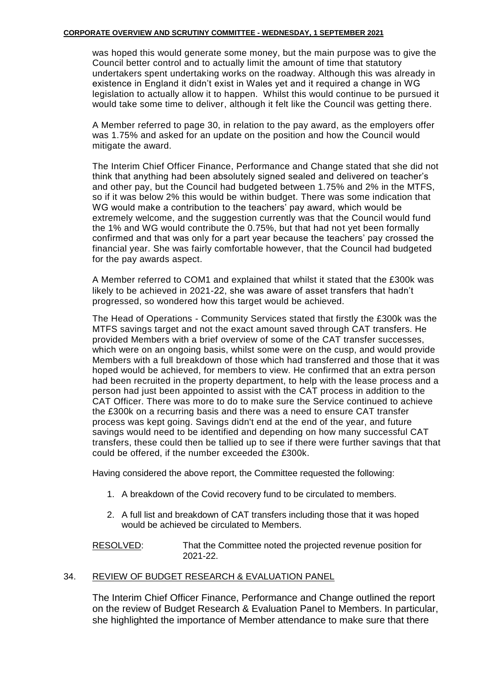was hoped this would generate some money, but the main purpose was to give the Council better control and to actually limit the amount of time that statutory undertakers spent undertaking works on the roadway. Although this was already in existence in England it didn't exist in Wales yet and it required a change in WG legislation to actually allow it to happen. Whilst this would continue to be pursued it would take some time to deliver, although it felt like the Council was getting there.

A Member referred to page 30, in relation to the pay award, as the employers offer was 1.75% and asked for an update on the position and how the Council would mitigate the award.

The Interim Chief Officer Finance, Performance and Change stated that she did not think that anything had been absolutely signed sealed and delivered on teacher's and other pay, but the Council had budgeted between 1.75% and 2% in the MTFS, so if it was below 2% this would be within budget. There was some indication that WG would make a contribution to the teachers' pay award, which would be extremely welcome, and the suggestion currently was that the Council would fund the 1% and WG would contribute the 0.75%, but that had not yet been formally confirmed and that was only for a part year because the teachers' pay crossed the financial year. She was fairly comfortable however, that the Council had budgeted for the pay awards aspect.

A Member referred to COM1 and explained that whilst it stated that the £300k was likely to be achieved in 2021-22, she was aware of asset transfers that hadn't progressed, so wondered how this target would be achieved.

The Head of Operations - Community Services stated that firstly the £300k was the MTFS savings target and not the exact amount saved through CAT transfers. He provided Members with a brief overview of some of the CAT transfer successes, which were on an ongoing basis, whilst some were on the cusp, and would provide Members with a full breakdown of those which had transferred and those that it was hoped would be achieved, for members to view. He confirmed that an extra person had been recruited in the property department, to help with the lease process and a person had just been appointed to assist with the CAT process in addition to the CAT Officer. There was more to do to make sure the Service continued to achieve the £300k on a recurring basis and there was a need to ensure CAT transfer process was kept going. Savings didn't end at the end of the year, and future savings would need to be identified and depending on how many successful CAT transfers, these could then be tallied up to see if there were further savings that that could be offered, if the number exceeded the £300k.

Having considered the above report, the Committee requested the following:

- 1. A breakdown of the Covid recovery fund to be circulated to members.
- 2. A full list and breakdown of CAT transfers including those that it was hoped would be achieved be circulated to Members.

RESOLVED: That the Committee noted the projected revenue position for 2021-22.

# 34. REVIEW OF BUDGET RESEARCH & EVALUATION PANEL

The Interim Chief Officer Finance, Performance and Change outlined the report on the review of Budget Research & Evaluation Panel to Members. In particular, she highlighted the importance of Member attendance to make sure that there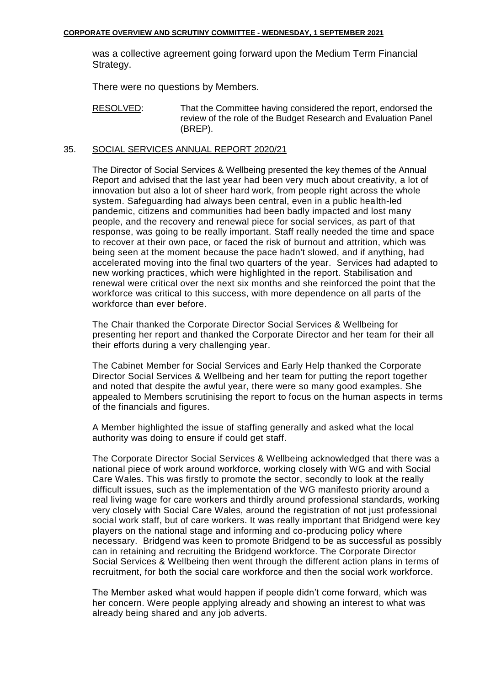was a collective agreement going forward upon the Medium Term Financial Strategy.

There were no questions by Members.

RESOLVED: That the Committee having considered the report, endorsed the review of the role of the Budget Research and Evaluation Panel (BREP).

## 35. SOCIAL SERVICES ANNUAL REPORT 2020/21

The Director of Social Services & Wellbeing presented the key themes of the Annual Report and advised that the last year had been very much about creativity, a lot of innovation but also a lot of sheer hard work, from people right across the whole system. Safeguarding had always been central, even in a public health-led pandemic, citizens and communities had been badly impacted and lost many people, and the recovery and renewal piece for social services, as part of that response, was going to be really important. Staff really needed the time and space to recover at their own pace, or faced the risk of burnout and attrition, which was being seen at the moment because the pace hadn't slowed, and if anything, had accelerated moving into the final two quarters of the year. Services had adapted to new working practices, which were highlighted in the report. Stabilisation and renewal were critical over the next six months and she reinforced the point that the workforce was critical to this success, with more dependence on all parts of the workforce than ever before.

The Chair thanked the Corporate Director Social Services & Wellbeing for presenting her report and thanked the Corporate Director and her team for their all their efforts during a very challenging year.

The Cabinet Member for Social Services and Early Help thanked the Corporate Director Social Services & Wellbeing and her team for putting the report together and noted that despite the awful year, there were so many good examples. She appealed to Members scrutinising the report to focus on the human aspects in terms of the financials and figures.

A Member highlighted the issue of staffing generally and asked what the local authority was doing to ensure if could get staff.

The Corporate Director Social Services & Wellbeing acknowledged that there was a national piece of work around workforce, working closely with WG and with Social Care Wales. This was firstly to promote the sector, secondly to look at the really difficult issues, such as the implementation of the WG manifesto priority around a real living wage for care workers and thirdly around professional standards, working very closely with Social Care Wales, around the registration of not just professional social work staff, but of care workers. It was really important that Bridgend were key players on the national stage and informing and co-producing policy where necessary. Bridgend was keen to promote Bridgend to be as successful as possibly can in retaining and recruiting the Bridgend workforce. The Corporate Director Social Services & Wellbeing then went through the different action plans in terms of recruitment, for both the social care workforce and then the social work workforce.

The Member asked what would happen if people didn't come forward, which was her concern. Were people applying already and showing an interest to what was already being shared and any job adverts.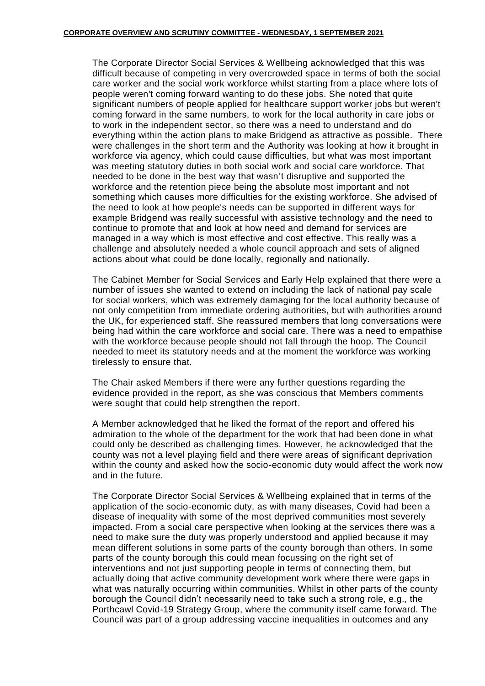The Corporate Director Social Services & Wellbeing acknowledged that this was difficult because of competing in very overcrowded space in terms of both the social care worker and the social work workforce whilst starting from a place where lots of people weren't coming forward wanting to do these jobs. She noted that quite significant numbers of people applied for healthcare support worker jobs but weren't coming forward in the same numbers, to work for the local authority in care jobs or to work in the independent sector, so there was a need to understand and do everything within the action plans to make Bridgend as attractive as possible. There were challenges in the short term and the Authority was looking at how it brought in workforce via agency, which could cause difficulties, but what was most important was meeting statutory duties in both social work and social care workforce. That needed to be done in the best way that wasn't disruptive and supported the workforce and the retention piece being the absolute most important and not something which causes more difficulties for the existing workforce. She advised of the need to look at how people's needs can be supported in different ways for example Bridgend was really successful with assistive technology and the need to continue to promote that and look at how need and demand for services are managed in a way which is most effective and cost effective. This really was a challenge and absolutely needed a whole council approach and sets of aligned actions about what could be done locally, regionally and nationally.

The Cabinet Member for Social Services and Early Help explained that there were a number of issues she wanted to extend on including the lack of national pay scale for social workers, which was extremely damaging for the local authority because of not only competition from immediate ordering authorities, but with authorities around the UK, for experienced staff. She reassured members that long conversations were being had within the care workforce and social care. There was a need to empathise with the workforce because people should not fall through the hoop. The Council needed to meet its statutory needs and at the moment the workforce was working tirelessly to ensure that.

The Chair asked Members if there were any further questions regarding the evidence provided in the report, as she was conscious that Members comments were sought that could help strengthen the report.

A Member acknowledged that he liked the format of the report and offered his admiration to the whole of the department for the work that had been done in what could only be described as challenging times. However, he acknowledged that the county was not a level playing field and there were areas of significant deprivation within the county and asked how the socio-economic duty would affect the work now and in the future.

The Corporate Director Social Services & Wellbeing explained that in terms of the application of the socio-economic duty, as with many diseases, Covid had been a disease of inequality with some of the most deprived communities most severely impacted. From a social care perspective when looking at the services there was a need to make sure the duty was properly understood and applied because it may mean different solutions in some parts of the county borough than others. In some parts of the county borough this could mean focussing on the right set of interventions and not just supporting people in terms of connecting them, but actually doing that active community development work where there were gaps in what was naturally occurring within communities. Whilst in other parts of the county borough the Council didn't necessarily need to take such a strong role, e.g., the Porthcawl Covid-19 Strategy Group, where the community itself came forward. The Council was part of a group addressing vaccine inequalities in outcomes and any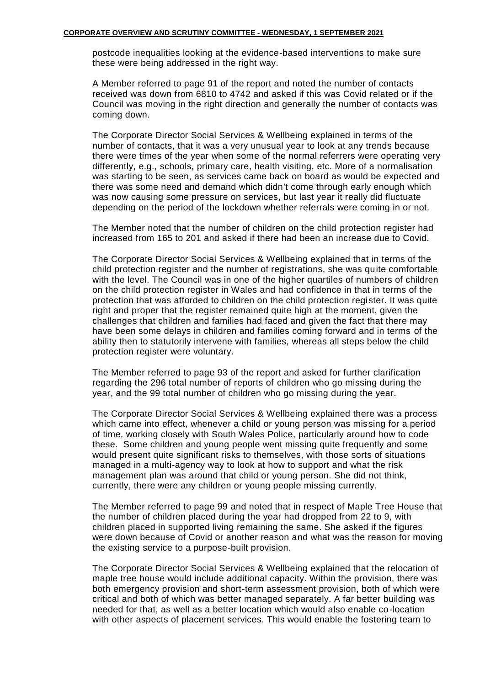postcode inequalities looking at the evidence-based interventions to make sure these were being addressed in the right way.

A Member referred to page 91 of the report and noted the number of contacts received was down from 6810 to 4742 and asked if this was Covid related or if the Council was moving in the right direction and generally the number of contacts was coming down.

The Corporate Director Social Services & Wellbeing explained in terms of the number of contacts, that it was a very unusual year to look at any trends because there were times of the year when some of the normal referrers were operating very differently, e.g., schools, primary care, health visiting, etc. More of a normalisation was starting to be seen, as services came back on board as would be expected and there was some need and demand which didn't come through early enough which was now causing some pressure on services, but last year it really did fluctuate depending on the period of the lockdown whether referrals were coming in or not.

The Member noted that the number of children on the child protection register had increased from 165 to 201 and asked if there had been an increase due to Covid.

The Corporate Director Social Services & Wellbeing explained that in terms of the child protection register and the number of registrations, she was quite comfortable with the level. The Council was in one of the higher quartiles of numbers of children on the child protection register in Wales and had confidence in that in terms of the protection that was afforded to children on the child protection register. It was quite right and proper that the register remained quite high at the moment, given the challenges that children and families had faced and given the fact that there may have been some delays in children and families coming forward and in terms of the ability then to statutorily intervene with families, whereas all steps below the child protection register were voluntary.

The Member referred to page 93 of the report and asked for further clarification regarding the 296 total number of reports of children who go missing during the year, and the 99 total number of children who go missing during the year.

The Corporate Director Social Services & Wellbeing explained there was a process which came into effect, whenever a child or young person was missing for a period of time, working closely with South Wales Police, particularly around how to code these. Some children and young people went missing quite frequently and some would present quite significant risks to themselves, with those sorts of situations managed in a multi-agency way to look at how to support and what the risk management plan was around that child or young person. She did not think, currently, there were any children or young people missing currently.

The Member referred to page 99 and noted that in respect of Maple Tree House that the number of children placed during the year had dropped from 22 to 9, with children placed in supported living remaining the same. She asked if the figures were down because of Covid or another reason and what was the reason for moving the existing service to a purpose-built provision.

The Corporate Director Social Services & Wellbeing explained that the relocation of maple tree house would include additional capacity. Within the provision, there was both emergency provision and short-term assessment provision, both of which were critical and both of which was better managed separately. A far better building was needed for that, as well as a better location which would also enable co-location with other aspects of placement services. This would enable the fostering team to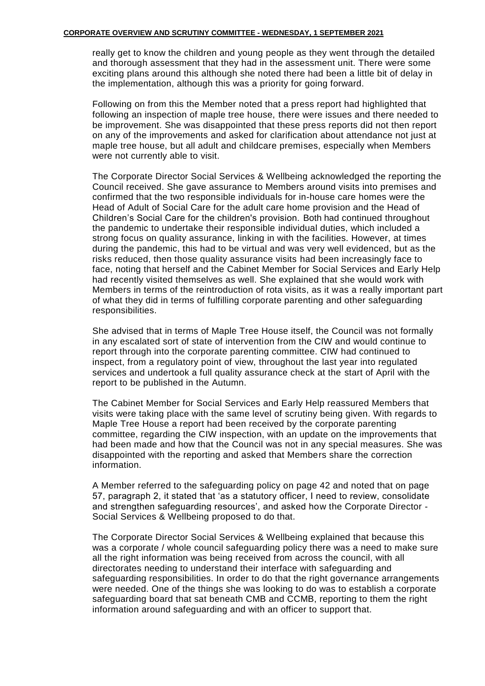really get to know the children and young people as they went through the detailed and thorough assessment that they had in the assessment unit. There were some exciting plans around this although she noted there had been a little bit of delay in the implementation, although this was a priority for going forward.

Following on from this the Member noted that a press report had highlighted that following an inspection of maple tree house, there were issues and there needed to be improvement. She was disappointed that these press reports did not then report on any of the improvements and asked for clarification about attendance not just at maple tree house, but all adult and childcare premises, especially when Members were not currently able to visit.

The Corporate Director Social Services & Wellbeing acknowledged the reporting the Council received. She gave assurance to Members around visits into premises and confirmed that the two responsible individuals for in-house care homes were the Head of Adult of Social Care for the adult care home provision and the Head of Children's Social Care for the children's provision. Both had continued throughout the pandemic to undertake their responsible individual duties, which included a strong focus on quality assurance, linking in with the facilities. However, at times during the pandemic, this had to be virtual and was very well evidenced, but as the risks reduced, then those quality assurance visits had been increasingly face to face, noting that herself and the Cabinet Member for Social Services and Early Help had recently visited themselves as well. She explained that she would work with Members in terms of the reintroduction of rota visits, as it was a really important part of what they did in terms of fulfilling corporate parenting and other safeguarding responsibilities.

She advised that in terms of Maple Tree House itself, the Council was not formally in any escalated sort of state of intervention from the CIW and would continue to report through into the corporate parenting committee. CIW had continued to inspect, from a regulatory point of view, throughout the last year into regulated services and undertook a full quality assurance check at the start of April with the report to be published in the Autumn.

The Cabinet Member for Social Services and Early Help reassured Members that visits were taking place with the same level of scrutiny being given. With regards to Maple Tree House a report had been received by the corporate parenting committee, regarding the CIW inspection, with an update on the improvements that had been made and how that the Council was not in any special measures. She was disappointed with the reporting and asked that Members share the correction information.

A Member referred to the safeguarding policy on page 42 and noted that on page 57, paragraph 2, it stated that 'as a statutory officer, I need to review, consolidate and strengthen safeguarding resources', and asked how the Corporate Director - Social Services & Wellbeing proposed to do that.

The Corporate Director Social Services & Wellbeing explained that because this was a corporate / whole council safeguarding policy there was a need to make sure all the right information was being received from across the council, with all directorates needing to understand their interface with safeguarding and safeguarding responsibilities. In order to do that the right governance arrangements were needed. One of the things she was looking to do was to establish a corporate safeguarding board that sat beneath CMB and CCMB, reporting to them the right information around safeguarding and with an officer to support that.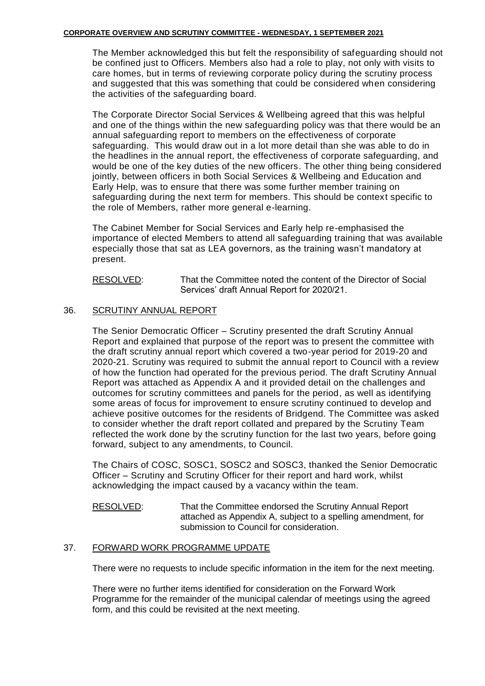The Member acknowledged this but felt the responsibility of safeguarding should not be confined just to Officers. Members also had a role to play, not only with visits to care homes, but in terms of reviewing corporate policy during the scrutiny process and suggested that this was something that could be considered when considering the activities of the safeguarding board.

The Corporate Director Social Services & Wellbeing agreed that this was helpful and one of the things within the new safeguarding policy was that there would be an annual safeguarding report to members on the effectiveness of corporate safeguarding. This would draw out in a lot more detail than she was able to do in the headlines in the annual report, the effectiveness of corporate safeguarding, and would be one of the key duties of the new officers. The other thing being considered jointly, between officers in both Social Services & Wellbeing and Education and Early Help, was to ensure that there was some further member training on safeguarding during the next term for members. This should be context specific to the role of Members, rather more general e-learning.

The Cabinet Member for Social Services and Early help re-emphasised the importance of elected Members to attend all safeguarding training that was available especially those that sat as LEA governors, as the training wasn't mandatory at present.

RESOLVED: That the Committee noted the content of the Director of Social Services' draft Annual Report for 2020/21.

# 36. SCRUTINY ANNUAL REPORT

The Senior Democratic Officer – Scrutiny presented the draft Scrutiny Annual Report and explained that purpose of the report was to present the committee with the draft scrutiny annual report which covered a two-year period for 2019-20 and 2020-21. Scrutiny was required to submit the annual report to Council with a review of how the function had operated for the previous period. The draft Scrutiny Annual Report was attached as Appendix A and it provided detail on the challenges and outcomes for scrutiny committees and panels for the period, as well as identifying some areas of focus for improvement to ensure scrutiny continued to develop and achieve positive outcomes for the residents of Bridgend. The Committee was asked to consider whether the draft report collated and prepared by the Scrutiny Team reflected the work done by the scrutiny function for the last two years, before going forward, subject to any amendments, to Council.

The Chairs of COSC, SOSC1, SOSC2 and SOSC3, thanked the Senior Democratic Officer – Scrutiny and Scrutiny Officer for their report and hard work, whilst acknowledging the impact caused by a vacancy within the team.

RESOLVED: That the Committee endorsed the Scrutiny Annual Report attached as Appendix A, subject to a spelling amendment, for submission to Council for consideration.

# 37. FORWARD WORK PROGRAMME UPDATE

There were no requests to include specific information in the item for the next meeting.

There were no further items identified for consideration on the Forward Work Programme for the remainder of the municipal calendar of meetings using the agreed form, and this could be revisited at the next meeting.